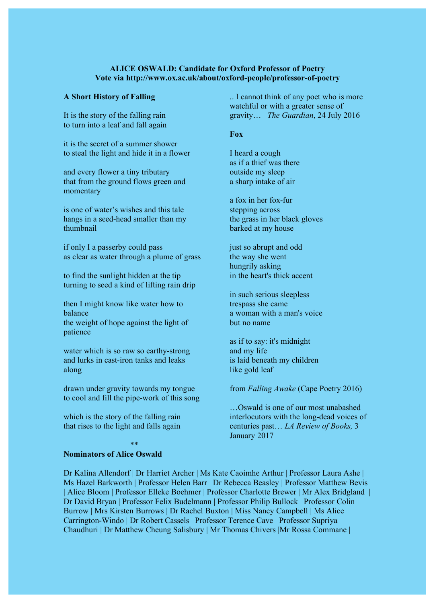## **ALICE OSWALD: Candidate for Oxford Professor of Poetry Vote via http://www.ox.ac.uk/about/oxford-people/professor-of-poetry**

## **A Short History of Falling**

 It is the story of the falling rain to turn into a leaf and fall again

it is the secret of a summer shower to steal the light and hide it in a flower

and every flower a tiny tributary that from the ground flows green and momentary

is one of water's wishes and this tale hangs in a seed-head smaller than my thumbnail

if only I a passerby could pass as clear as water through a plume of grass

to find the sunlight hidden at the tip turning to seed a kind of lifting rain drip

then I might know like water how to balance the weight of hope against the light of patience

water which is so raw so earthy-strong and lurks in cast-iron tanks and leaks along

drawn under gravity towards my tongue to cool and fill the pipe-work of this song

which is the story of the falling rain that rises to the light and falls again

\*\*

## **Nominators of Alice Oswald**

.. I cannot think of any poet who is more watchful or with a greater sense of gravity… *The Guardian*, 24 July 2016

## **Fox**

I heard a cough as if a thief was there outside my sleep a sharp intake of air

a fox in her fox-fur stepping across the grass in her black gloves barked at my house

just so abrupt and odd the way she went hungrily asking in the heart's thick accent

in such serious sleepless trespass she came a woman with a man's voice but no name

as if to say: it's midnight and my life is laid beneath my children like gold leaf

from *Falling Awake* (Cape Poetry 2016)

…Oswald is one of our most unabashed interlocutors with the long-dead voices of centuries past… *LA Review of Books,* 3 January 2017

Dr Kalina Allendorf | Dr Harriet Archer | Ms Kate Caoimhe Arthur | Professor Laura Ashe | Ms Hazel Barkworth | Professor Helen Barr | Dr Rebecca Beasley | Professor Matthew Bevis | Alice Bloom | Professor Elleke Boehmer | Professor Charlotte Brewer | Mr Alex Bridgland | Dr David Bryan | Professor Felix Budelmann | Professor Philip Bullock | Professor Colin Burrow | Mrs Kirsten Burrows | Dr Rachel Buxton | Miss Nancy Campbell | Ms Alice Carrington-Windo | Dr Robert Cassels | Professor Terence Cave | Professor Supriya Chaudhuri | Dr Matthew Cheung Salisbury | Mr Thomas Chivers |Mr Rossa Commane |